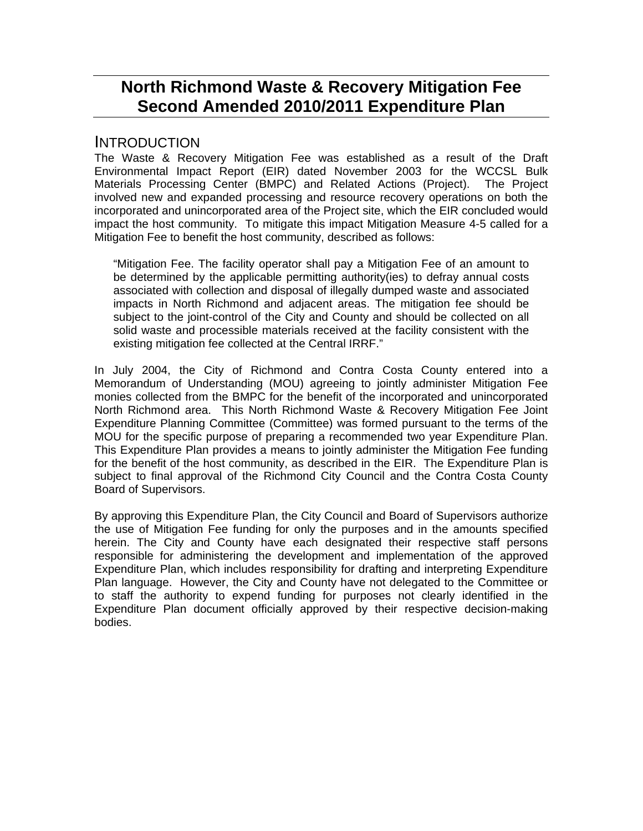# **North Richmond Waste & Recovery Mitigation Fee Second Amended 2010/2011 Expenditure Plan**

#### **INTRODUCTION**

The Waste & Recovery Mitigation Fee was established as a result of the Draft Environmental Impact Report (EIR) dated November 2003 for the WCCSL Bulk Materials Processing Center (BMPC) and Related Actions (Project). The Project involved new and expanded processing and resource recovery operations on both the incorporated and unincorporated area of the Project site, which the EIR concluded would impact the host community. To mitigate this impact Mitigation Measure 4-5 called for a Mitigation Fee to benefit the host community, described as follows:

"Mitigation Fee. The facility operator shall pay a Mitigation Fee of an amount to be determined by the applicable permitting authority(ies) to defray annual costs associated with collection and disposal of illegally dumped waste and associated impacts in North Richmond and adjacent areas. The mitigation fee should be subject to the joint-control of the City and County and should be collected on all solid waste and processible materials received at the facility consistent with the existing mitigation fee collected at the Central IRRF."

In July 2004, the City of Richmond and Contra Costa County entered into a Memorandum of Understanding (MOU) agreeing to jointly administer Mitigation Fee monies collected from the BMPC for the benefit of the incorporated and unincorporated North Richmond area. This North Richmond Waste & Recovery Mitigation Fee Joint Expenditure Planning Committee (Committee) was formed pursuant to the terms of the MOU for the specific purpose of preparing a recommended two year Expenditure Plan. This Expenditure Plan provides a means to jointly administer the Mitigation Fee funding for the benefit of the host community, as described in the EIR. The Expenditure Plan is subject to final approval of the Richmond City Council and the Contra Costa County Board of Supervisors.

By approving this Expenditure Plan, the City Council and Board of Supervisors authorize the use of Mitigation Fee funding for only the purposes and in the amounts specified herein. The City and County have each designated their respective staff persons responsible for administering the development and implementation of the approved Expenditure Plan, which includes responsibility for drafting and interpreting Expenditure Plan language. However, the City and County have not delegated to the Committee or to staff the authority to expend funding for purposes not clearly identified in the Expenditure Plan document officially approved by their respective decision-making bodies.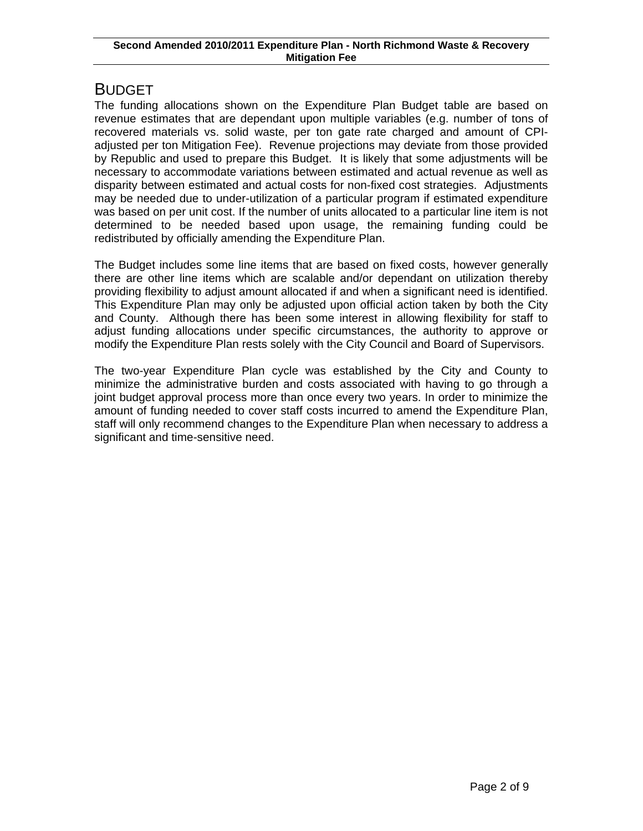## BUDGET

The funding allocations shown on the Expenditure Plan Budget table are based on revenue estimates that are dependant upon multiple variables (e.g. number of tons of recovered materials vs. solid waste, per ton gate rate charged and amount of CPIadjusted per ton Mitigation Fee). Revenue projections may deviate from those provided by Republic and used to prepare this Budget. It is likely that some adjustments will be necessary to accommodate variations between estimated and actual revenue as well as disparity between estimated and actual costs for non-fixed cost strategies. Adjustments may be needed due to under-utilization of a particular program if estimated expenditure was based on per unit cost. If the number of units allocated to a particular line item is not determined to be needed based upon usage, the remaining funding could be redistributed by officially amending the Expenditure Plan.

The Budget includes some line items that are based on fixed costs, however generally there are other line items which are scalable and/or dependant on utilization thereby providing flexibility to adjust amount allocated if and when a significant need is identified. This Expenditure Plan may only be adjusted upon official action taken by both the City and County. Although there has been some interest in allowing flexibility for staff to adjust funding allocations under specific circumstances, the authority to approve or modify the Expenditure Plan rests solely with the City Council and Board of Supervisors.

The two-year Expenditure Plan cycle was established by the City and County to minimize the administrative burden and costs associated with having to go through a joint budget approval process more than once every two years. In order to minimize the amount of funding needed to cover staff costs incurred to amend the Expenditure Plan, staff will only recommend changes to the Expenditure Plan when necessary to address a significant and time-sensitive need.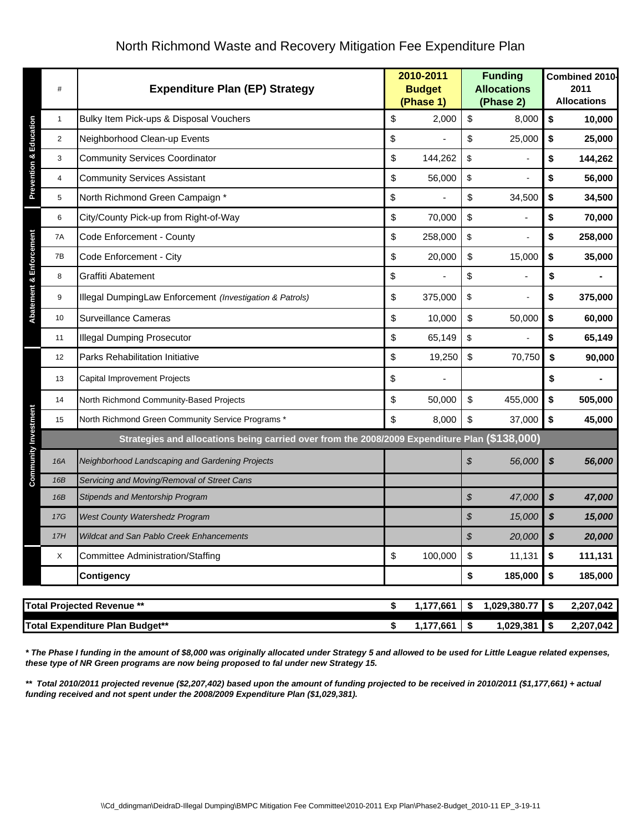|                                                                                                                                                                                                                                             | $\#$                              | <b>Expenditure Plan (EP) Strategy</b>                                                         | 2010-2011<br><b>Budget</b><br>(Phase 1) |           | <b>Funding</b><br><b>Allocations</b><br>(Phase 2) |              | Combined 2010-<br>2011<br><b>Allocations</b> |           |  |
|---------------------------------------------------------------------------------------------------------------------------------------------------------------------------------------------------------------------------------------------|-----------------------------------|-----------------------------------------------------------------------------------------------|-----------------------------------------|-----------|---------------------------------------------------|--------------|----------------------------------------------|-----------|--|
|                                                                                                                                                                                                                                             | 1                                 | Bulky Item Pick-ups & Disposal Vouchers                                                       | \$                                      | 2,000     | \$                                                | 8,000        | \$                                           | 10,000    |  |
| <b>Prevention &amp; Education</b>                                                                                                                                                                                                           | 2                                 | Neighborhood Clean-up Events                                                                  | \$                                      |           | \$                                                | 25,000       | \$                                           | 25,000    |  |
|                                                                                                                                                                                                                                             | 3                                 | <b>Community Services Coordinator</b>                                                         | \$                                      | 144,262   | \$                                                |              | \$                                           | 144,262   |  |
|                                                                                                                                                                                                                                             | $\overline{\mathbf{4}}$           | <b>Community Services Assistant</b>                                                           | \$                                      | 56,000    | \$                                                |              | \$                                           | 56,000    |  |
|                                                                                                                                                                                                                                             | 5                                 | North Richmond Green Campaign *                                                               | \$                                      |           | \$                                                | 34,500       | \$                                           | 34,500    |  |
|                                                                                                                                                                                                                                             | 6                                 | City/County Pick-up from Right-of-Way                                                         | \$                                      | 70,000    | \$                                                |              | \$                                           | 70,000    |  |
|                                                                                                                                                                                                                                             | 7A                                | Code Enforcement - County                                                                     | \$                                      | 258,000   | \$                                                |              | \$                                           | 258,000   |  |
|                                                                                                                                                                                                                                             | 7B                                | Code Enforcement - City                                                                       | \$                                      | 20,000    | \$                                                | 15,000       | \$                                           | 35,000    |  |
|                                                                                                                                                                                                                                             | 8                                 | Graffiti Abatement                                                                            | \$                                      |           | \$                                                |              | \$                                           |           |  |
| Abatement & Enforcement                                                                                                                                                                                                                     | 9                                 | Illegal DumpingLaw Enforcement (Investigation & Patrols)                                      | \$                                      | 375,000   | \$                                                |              | \$                                           | 375,000   |  |
|                                                                                                                                                                                                                                             | 10                                | <b>Surveillance Cameras</b>                                                                   | \$                                      | 10,000    | \$                                                | 50,000       | \$                                           | 60,000    |  |
|                                                                                                                                                                                                                                             | 11                                | <b>Illegal Dumping Prosecutor</b>                                                             | \$                                      | 65,149    | \$                                                |              | \$                                           | 65,149    |  |
|                                                                                                                                                                                                                                             | 12                                | Parks Rehabilitation Initiative                                                               | \$                                      | 19,250    | $\sqrt[6]{\frac{1}{2}}$                           | 70,750       | \$                                           | 90,000    |  |
|                                                                                                                                                                                                                                             | 13                                | Capital Improvement Projects                                                                  | \$                                      |           |                                                   |              | \$                                           |           |  |
|                                                                                                                                                                                                                                             | 14                                | North Richmond Community-Based Projects                                                       | \$                                      | 50,000    | \$                                                | 455,000      | \$                                           | 505,000   |  |
|                                                                                                                                                                                                                                             | 15                                | North Richmond Green Community Service Programs *                                             | \$                                      | 8,000     | \$                                                | 37,000       | \$                                           | 45,000    |  |
|                                                                                                                                                                                                                                             |                                   | Strategies and allocations being carried over from the 2008/2009 Expenditure Plan (\$138,000) |                                         |           |                                                   |              |                                              |           |  |
| <b>Community Investment</b>                                                                                                                                                                                                                 | 16A                               | Neighborhood Landscaping and Gardening Projects                                               |                                         |           | \$                                                | 56,000       | $\boldsymbol{\mathsf{s}}$                    | 56,000    |  |
|                                                                                                                                                                                                                                             | 16B                               | Servicing and Moving/Removal of Street Cans                                                   |                                         |           |                                                   |              |                                              |           |  |
|                                                                                                                                                                                                                                             | 16B                               | Stipends and Mentorship Program                                                               |                                         |           | \$                                                | 47,000       | \$                                           | 47,000    |  |
|                                                                                                                                                                                                                                             | 17G                               | West County Watershedz Program                                                                |                                         |           | \$                                                | 15,000       |                                              | 15,000    |  |
|                                                                                                                                                                                                                                             | 17H                               | Wildcat and San Pablo Creek Enhancements                                                      |                                         |           | ${\mathfrak{F}}$                                  | 20,000       | \$                                           | 20,000    |  |
|                                                                                                                                                                                                                                             | X                                 | <b>Committee Administration/Staffing</b>                                                      | \$                                      | 100,000   | $\, \, \raisebox{12pt}{$\scriptstyle \$}$         | 11,131       | \$                                           | 111,131   |  |
|                                                                                                                                                                                                                                             |                                   | <b>Contigency</b>                                                                             |                                         |           | \$                                                | 185,000      | \$                                           | 185,000   |  |
|                                                                                                                                                                                                                                             | <b>Total Projected Revenue **</b> |                                                                                               |                                         |           | \$                                                | 1,029,380.77 | \$                                           | 2,207,042 |  |
|                                                                                                                                                                                                                                             |                                   | <b>Total Expenditure Plan Budget**</b>                                                        | \$                                      | 1,177,661 | \$                                                | 1,029,381    | \$                                           | 2,207,042 |  |
| * The Phase I funding in the amount of \$8,000 was originally allocated under Strategy 5 and allowed to be used for Little League related expenses,<br>these type of NR Green programs are now being proposed to fal under new Strategy 15. |                                   |                                                                                               |                                         |           |                                                   |              |                                              |           |  |

### North Richmond Waste and Recovery Mitigation Fee Expenditure Plan

*\*\* Total 2010/2011 projected revenue (\$2,207,402) based upon the amount of funding projected to be received in 2010/2011 (\$1,177,661) + actual funding received and not spent under the 2008/2009 Expenditure Plan (\$1,029,381).*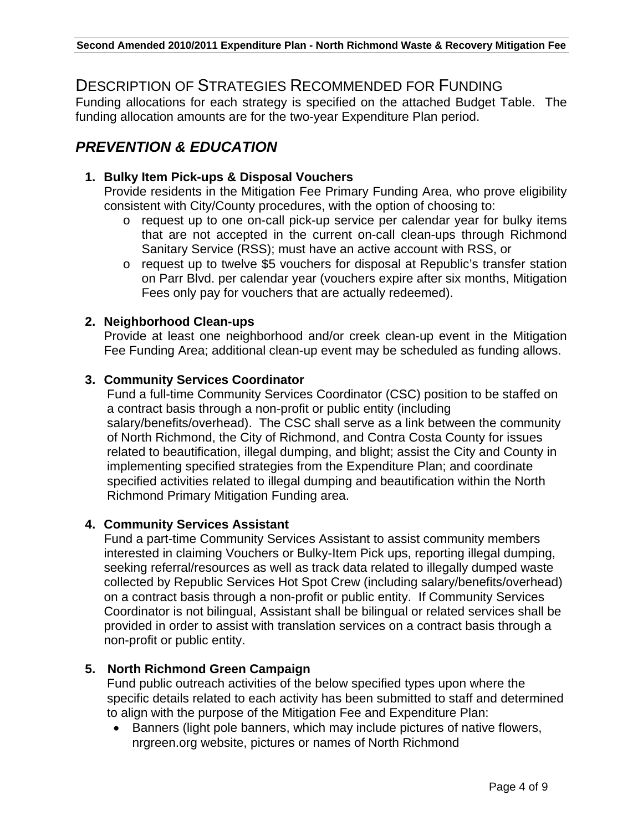### DESCRIPTION OF STRATEGIES RECOMMENDED FOR FUNDING

Funding allocations for each strategy is specified on the attached Budget Table. The funding allocation amounts are for the two-year Expenditure Plan period.

## *PREVENTION & EDUCATION*

#### **1. Bulky Item Pick-ups & Disposal Vouchers**

Provide residents in the Mitigation Fee Primary Funding Area, who prove eligibility consistent with City/County procedures, with the option of choosing to:

- o request up to one on-call pick-up service per calendar year for bulky items that are not accepted in the current on-call clean-ups through Richmond Sanitary Service (RSS); must have an active account with RSS, or
- o request up to twelve \$5 vouchers for disposal at Republic's transfer station on Parr Blvd. per calendar year (vouchers expire after six months, Mitigation Fees only pay for vouchers that are actually redeemed).

#### **2. Neighborhood Clean-ups**

Provide at least one neighborhood and/or creek clean-up event in the Mitigation Fee Funding Area; additional clean-up event may be scheduled as funding allows.

#### **3. Community Services Coordinator**

Fund a full-time Community Services Coordinator (CSC) position to be staffed on a contract basis through a non-profit or public entity (including salary/benefits/overhead). The CSC shall serve as a link between the community of North Richmond, the City of Richmond, and Contra Costa County for issues related to beautification, illegal dumping, and blight; assist the City and County in implementing specified strategies from the Expenditure Plan; and coordinate specified activities related to illegal dumping and beautification within the North Richmond Primary Mitigation Funding area.

#### **4. Community Services Assistant**

Fund a part-time Community Services Assistant to assist community members interested in claiming Vouchers or Bulky-Item Pick ups, reporting illegal dumping, seeking referral/resources as well as track data related to illegally dumped waste collected by Republic Services Hot Spot Crew (including salary/benefits/overhead) on a contract basis through a non-profit or public entity. If Community Services Coordinator is not bilingual, Assistant shall be bilingual or related services shall be provided in order to assist with translation services on a contract basis through a non-profit or public entity.

#### **5. North Richmond Green Campaign**

Fund public outreach activities of the below specified types upon where the specific details related to each activity has been submitted to staff and determined to align with the purpose of the Mitigation Fee and Expenditure Plan:

• Banners (light pole banners, which may include pictures of native flowers, nrgreen.org website, pictures or names of North Richmond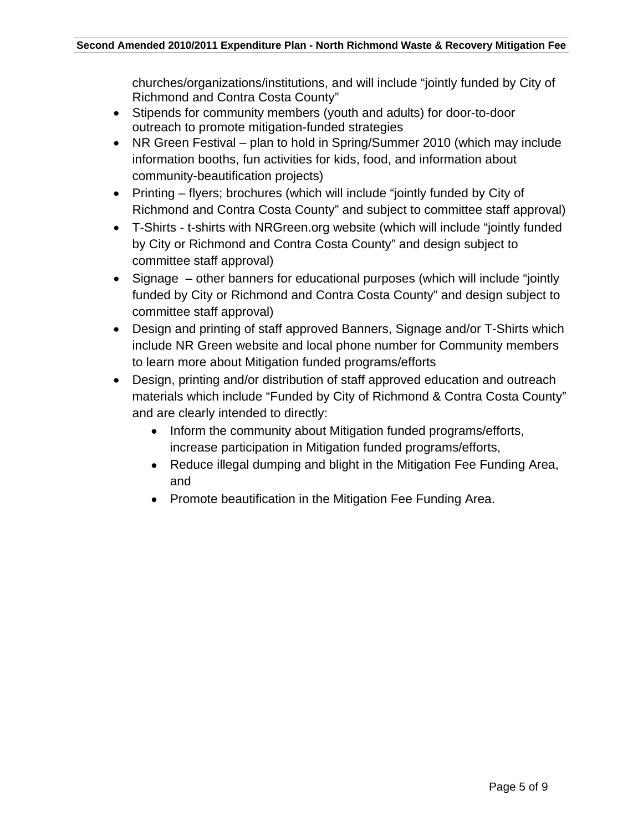churches/organizations/institutions, and will include "jointly funded by City of Richmond and Contra Costa County"

- Stipends for community members (youth and adults) for door-to-door outreach to promote mitigation-funded strategies
- NR Green Festival plan to hold in Spring/Summer 2010 (which may include information booths, fun activities for kids, food, and information about community-beautification projects)
- Printing flyers; brochures (which will include "jointly funded by City of Richmond and Contra Costa County" and subject to committee staff approval)
- T-Shirts t-shirts with NRGreen.org website (which will include "jointly funded by City or Richmond and Contra Costa County" and design subject to committee staff approval)
- Signage other banners for educational purposes (which will include "jointly funded by City or Richmond and Contra Costa County" and design subject to committee staff approval)
- Design and printing of staff approved Banners, Signage and/or T-Shirts which include NR Green website and local phone number for Community members to learn more about Mitigation funded programs/efforts
- Design, printing and/or distribution of staff approved education and outreach materials which include "Funded by City of Richmond & Contra Costa County" and are clearly intended to directly:
	- Inform the community about Mitigation funded programs/efforts, increase participation in Mitigation funded programs/efforts,
	- Reduce illegal dumping and blight in the Mitigation Fee Funding Area, and
	- Promote beautification in the Mitigation Fee Funding Area.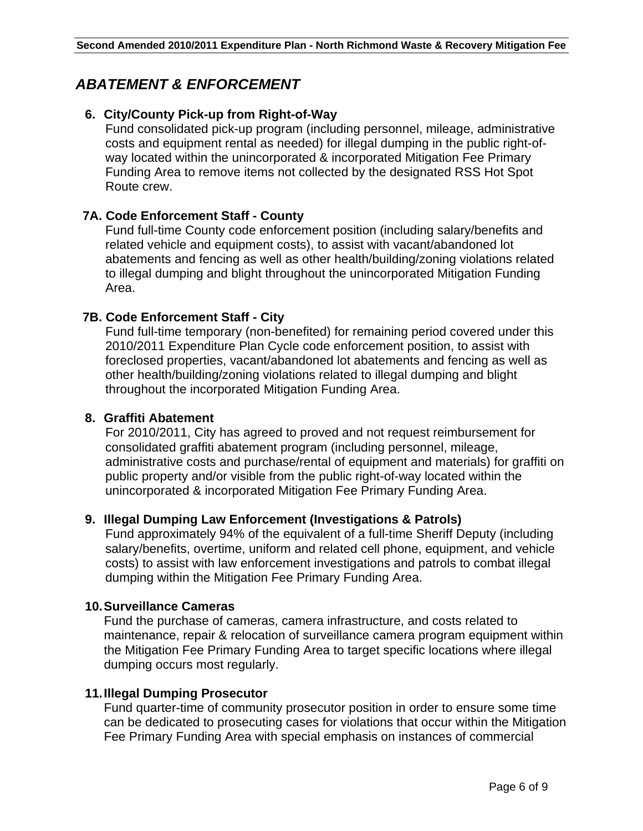## *ABATEMENT & ENFORCEMENT*

#### **6. City/County Pick-up from Right-of-Way**

Fund consolidated pick-up program (including personnel, mileage, administrative costs and equipment rental as needed) for illegal dumping in the public right-ofway located within the unincorporated & incorporated Mitigation Fee Primary Funding Area to remove items not collected by the designated RSS Hot Spot Route crew.

#### **7A. Code Enforcement Staff - County**

Fund full-time County code enforcement position (including salary/benefits and related vehicle and equipment costs), to assist with vacant/abandoned lot abatements and fencing as well as other health/building/zoning violations related to illegal dumping and blight throughout the unincorporated Mitigation Funding Area.

#### **7B. Code Enforcement Staff - City**

Fund full-time temporary (non-benefited) for remaining period covered under this 2010/2011 Expenditure Plan Cycle code enforcement position, to assist with foreclosed properties, vacant/abandoned lot abatements and fencing as well as other health/building/zoning violations related to illegal dumping and blight throughout the incorporated Mitigation Funding Area.

#### **8. Graffiti Abatement**

For 2010/2011, City has agreed to proved and not request reimbursement for consolidated graffiti abatement program (including personnel, mileage, administrative costs and purchase/rental of equipment and materials) for graffiti on public property and/or visible from the public right-of-way located within the unincorporated & incorporated Mitigation Fee Primary Funding Area.

#### **9. Illegal Dumping Law Enforcement (Investigations & Patrols)**

Fund approximately 94% of the equivalent of a full-time Sheriff Deputy (including salary/benefits, overtime, uniform and related cell phone, equipment, and vehicle costs) to assist with law enforcement investigations and patrols to combat illegal dumping within the Mitigation Fee Primary Funding Area.

#### **10. Surveillance Cameras**

Fund the purchase of cameras, camera infrastructure, and costs related to maintenance, repair & relocation of surveillance camera program equipment within the Mitigation Fee Primary Funding Area to target specific locations where illegal dumping occurs most regularly.

#### **11. Illegal Dumping Prosecutor**

Fund quarter-time of community prosecutor position in order to ensure some time can be dedicated to prosecuting cases for violations that occur within the Mitigation Fee Primary Funding Area with special emphasis on instances of commercial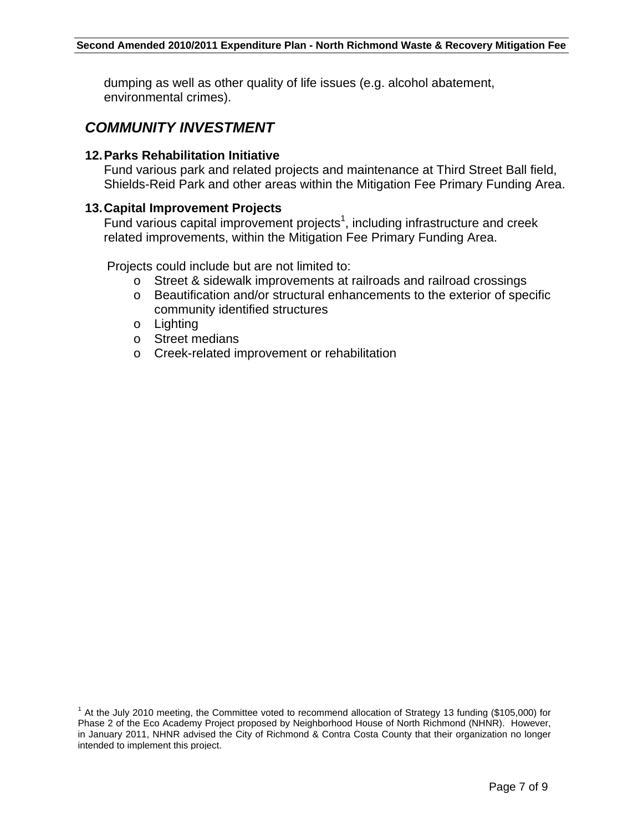dumping as well as other quality of life issues (e.g. alcohol abatement, environmental crimes).

## *COMMUNITY INVESTMENT*

#### **12. Parks Rehabilitation Initiative**

Fund various park and related projects and maintenance at Third Street Ball field, Shields-Reid Park and other areas within the Mitigation Fee Primary Funding Area.

#### **13. Capital Improvement Projects**

Fund various capital improvement projects<sup>1</sup>, including infrastructure and creek related improvements, within the Mitigation Fee Primary Funding Area.

Projects could include but are not limited to:

- o Street & sidewalk improvements at railroads and railroad crossings
- o Beautification and/or structural enhancements to the exterior of specific community identified structures
- o Lighting
- o Street medians
- o Creek-related improvement or rehabilitation

 $1$  At the July 2010 meeting, the Committee voted to recommend allocation of Strategy 13 funding (\$105,000) for Phase 2 of the Eco Academy Project proposed by Neighborhood House of North Richmond (NHNR). However, in January 2011, NHNR advised the City of Richmond & Contra Costa County that their organization no longer intended to implement this project.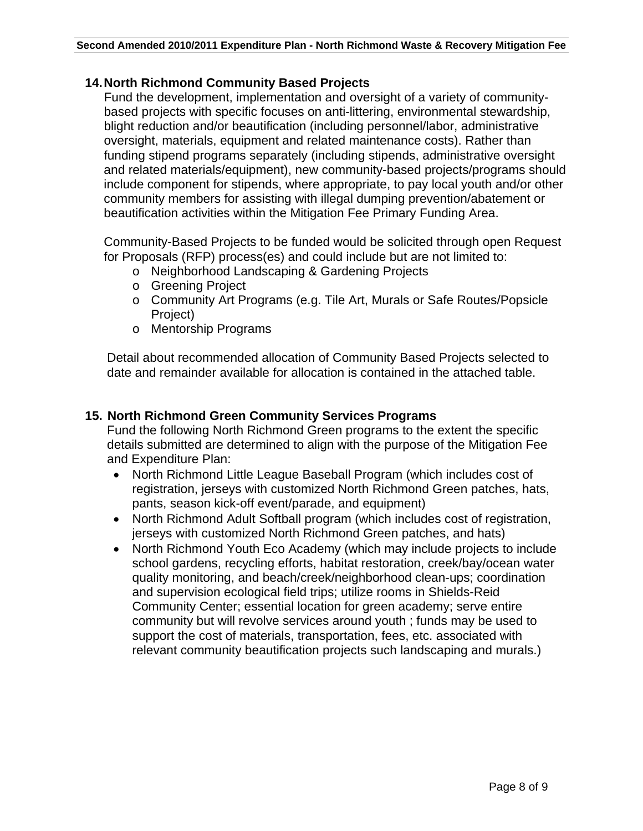#### **14. North Richmond Community Based Projects**

Fund the development, implementation and oversight of a variety of communitybased projects with specific focuses on anti-littering, environmental stewardship, blight reduction and/or beautification (including personnel/labor, administrative oversight, materials, equipment and related maintenance costs). Rather than funding stipend programs separately (including stipends, administrative oversight and related materials/equipment), new community-based projects/programs should include component for stipends, where appropriate, to pay local youth and/or other community members for assisting with illegal dumping prevention/abatement or beautification activities within the Mitigation Fee Primary Funding Area.

Community-Based Projects to be funded would be solicited through open Request for Proposals (RFP) process(es) and could include but are not limited to:

- o Neighborhood Landscaping & Gardening Projects
- o Greening Project
- o Community Art Programs (e.g. Tile Art, Murals or Safe Routes/Popsicle Project)
- o Mentorship Programs

Detail about recommended allocation of Community Based Projects selected to date and remainder available for allocation is contained in the attached table.

#### **15. North Richmond Green Community Services Programs**

Fund the following North Richmond Green programs to the extent the specific details submitted are determined to align with the purpose of the Mitigation Fee and Expenditure Plan:

- North Richmond Little League Baseball Program (which includes cost of registration, jerseys with customized North Richmond Green patches, hats, pants, season kick-off event/parade, and equipment)
- North Richmond Adult Softball program (which includes cost of registration, jerseys with customized North Richmond Green patches, and hats)
- North Richmond Youth Eco Academy (which may include projects to include school gardens, recycling efforts, habitat restoration, creek/bay/ocean water quality monitoring, and beach/creek/neighborhood clean-ups; coordination and supervision ecological field trips; utilize rooms in Shields-Reid Community Center; essential location for green academy; serve entire community but will revolve services around youth ; funds may be used to support the cost of materials, transportation, fees, etc. associated with relevant community beautification projects such landscaping and murals.)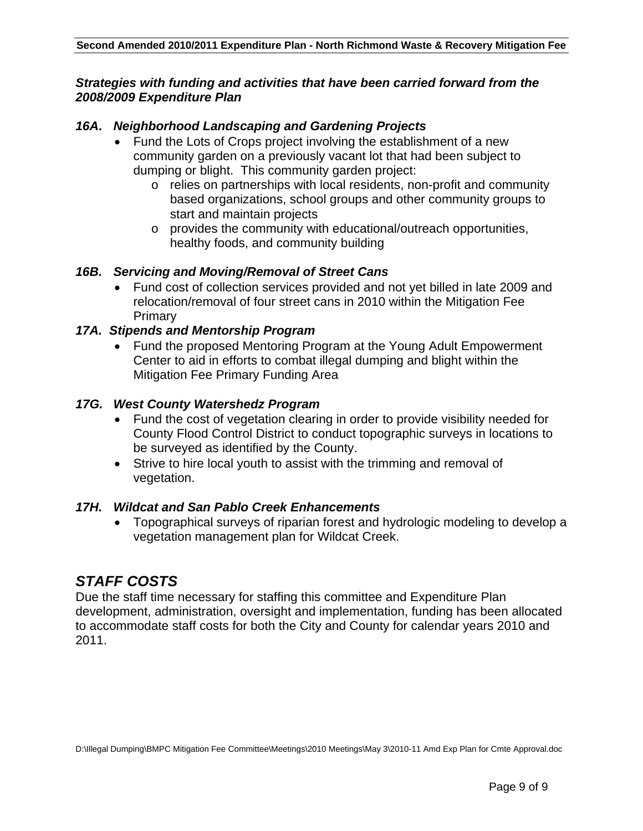#### *Strategies with funding and activities that have been carried forward from the 2008/2009 Expenditure Plan*

#### *16A***.** *Neighborhood Landscaping and Gardening Projects*

- Fund the Lots of Crops project involving the establishment of a new community garden on a previously vacant lot that had been subject to dumping or blight. This community garden project:
	- o relies on partnerships with local residents, non-profit and community based organizations, school groups and other community groups to start and maintain projects
	- o provides the community with educational/outreach opportunities, healthy foods, and community building

#### *16B. Servicing and Moving/Removal of Street Cans*

• Fund cost of collection services provided and not yet billed in late 2009 and relocation/removal of four street cans in 2010 within the Mitigation Fee Primary

#### *17A. Stipends and Mentorship Program*

• Fund the proposed Mentoring Program at the Young Adult Empowerment Center to aid in efforts to combat illegal dumping and blight within the Mitigation Fee Primary Funding Area

#### *17G. West County Watershedz Program*

- Fund the cost of vegetation clearing in order to provide visibility needed for County Flood Control District to conduct topographic surveys in locations to be surveyed as identified by the County.
- Strive to hire local youth to assist with the trimming and removal of vegetation.

#### *17H. Wildcat and San Pablo Creek Enhancements*

• Topographical surveys of riparian forest and hydrologic modeling to develop a vegetation management plan for Wildcat Creek.

## *STAFF COSTS*

Due the staff time necessary for staffing this committee and Expenditure Plan development, administration, oversight and implementation, funding has been allocated to accommodate staff costs for both the City and County for calendar years 2010 and 2011.